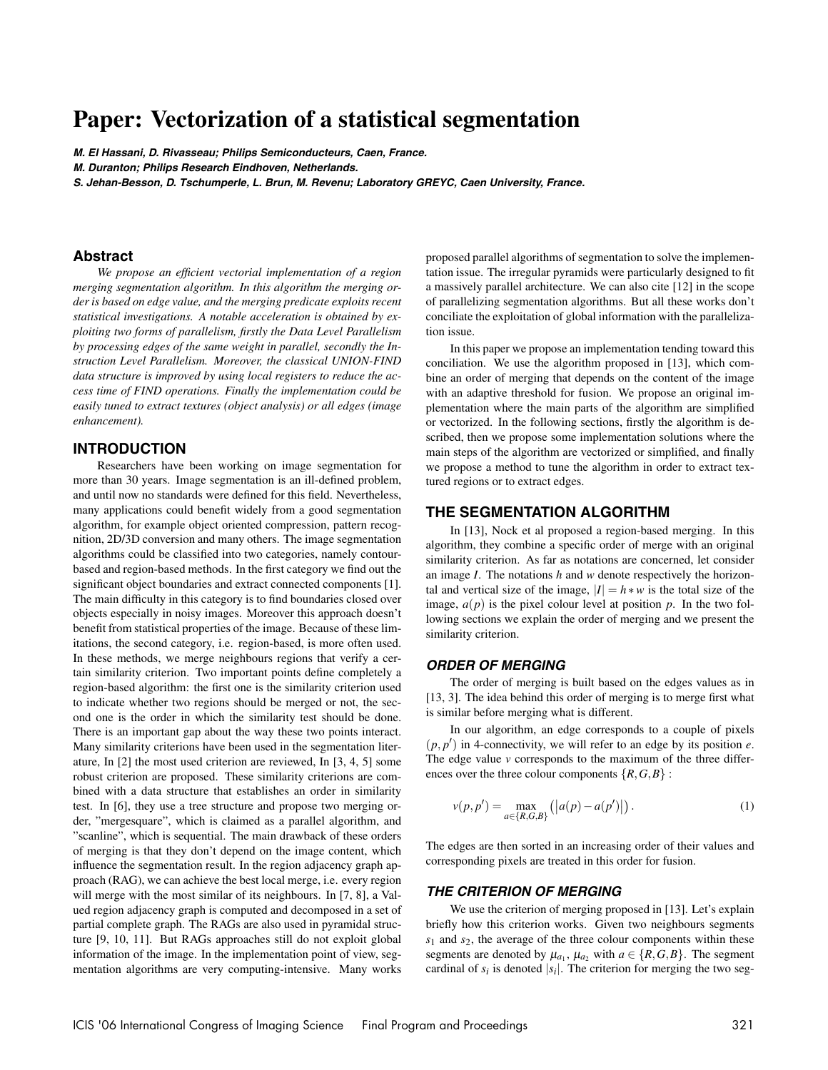# **Paper: Vectorization of a statistical segmentation**

**M. El Hassani, D. Rivasseau; Philips Semiconducteurs, Caen, France.**

**M. Duranton; Philips Research Eindhoven, Netherlands.**

S. Jehan-Besson, D. Tschumperle, L. Brun, M. Revenu; Laboratory GREYC, Caen University, France.

#### **Abstract**

*We propose an efficient vectorial implementation of a region merging segmentation algorithm. In this algorithm the merging order is based on edge value, and the merging predicate exploits recent statistical investigations. A notable acceleration is obtained by exploiting two forms of parallelism, firstly the Data Level Parallelism by processing edges of the same weight in parallel, secondly the Instruction Level Parallelism. Moreover, the classical UNION-FIND data structure is improved by using local registers to reduce the access time of FIND operations. Finally the implementation could be easily tuned to extract textures (object analysis) or all edges (image enhancement).*

### **INTRODUCTION**

Researchers have been working on image segmentation for more than 30 years. Image segmentation is an ill-defined problem, and until now no standards were defined for this field. Nevertheless, many applications could benefit widely from a good segmentation algorithm, for example object oriented compression, pattern recognition, 2D/3D conversion and many others. The image segmentation algorithms could be classified into two categories, namely contourbased and region-based methods. In the first category we find out the significant object boundaries and extract connected components [1]. The main difficulty in this category is to find boundaries closed over objects especially in noisy images. Moreover this approach doesn't benefit from statistical properties of the image. Because of these limitations, the second category, i.e. region-based, is more often used. In these methods, we merge neighbours regions that verify a certain similarity criterion. Two important points define completely a region-based algorithm: the first one is the similarity criterion used to indicate whether two regions should be merged or not, the second one is the order in which the similarity test should be done. There is an important gap about the way these two points interact. Many similarity criterions have been used in the segmentation literature, In [2] the most used criterion are reviewed, In [3, 4, 5] some robust criterion are proposed. These similarity criterions are combined with a data structure that establishes an order in similarity test. In [6], they use a tree structure and propose two merging order, "mergesquare", which is claimed as a parallel algorithm, and "scanline", which is sequential. The main drawback of these orders of merging is that they don't depend on the image content, which influence the segmentation result. In the region adjacency graph approach (RAG), we can achieve the best local merge, i.e. every region will merge with the most similar of its neighbours. In [7, 8], a Valued region adjacency graph is computed and decomposed in a set of partial complete graph. The RAGs are also used in pyramidal structure [9, 10, 11]. But RAGs approaches still do not exploit global information of the image. In the implementation point of view, segmentation algorithms are very computing-intensive. Many works proposed parallel algorithms of segmentation to solve the implementation issue. The irregular pyramids were particularly designed to fit a massively parallel architecture. We can also cite [12] in the scope of parallelizing segmentation algorithms. But all these works don't conciliate the exploitation of global information with the parallelization issue.

In this paper we propose an implementation tending toward this conciliation. We use the algorithm proposed in [13], which combine an order of merging that depends on the content of the image with an adaptive threshold for fusion. We propose an original implementation where the main parts of the algorithm are simplified or vectorized. In the following sections, firstly the algorithm is described, then we propose some implementation solutions where the main steps of the algorithm are vectorized or simplified, and finally we propose a method to tune the algorithm in order to extract textured regions or to extract edges.

### **THE SEGMENTATION ALGORITHM**

In [13], Nock et al proposed a region-based merging. In this algorithm, they combine a specific order of merge with an original similarity criterion. As far as notations are concerned, let consider an image *I*. The notations *h* and *w* denote respectively the horizontal and vertical size of the image,  $|I| = h * w$  is the total size of the image,  $a(p)$  is the pixel colour level at position  $p$ . In the two following sections we explain the order of merging and we present the similarity criterion.

#### **ORDER OF MERGING**

The order of merging is built based on the edges values as in [13, 3]. The idea behind this order of merging is to merge first what is similar before merging what is different.

In our algorithm, an edge corresponds to a couple of pixels  $(p, p')$  in 4-connectivity, we will refer to an edge by its position *e*. The edge value *v* corresponds to the maximum of the three differences over the three colour components  $\{R, G, B\}$ :

$$
v(p, p') = \max_{a \in \{R, G, B\}} (|a(p) - a(p')|).
$$
 (1)

The edges are then sorted in an increasing order of their values and corresponding pixels are treated in this order for fusion.

### **THE CRITERION OF MERGING**

We use the criterion of merging proposed in [13]. Let's explain briefly how this criterion works. Given two neighbours segments *s*<sup>1</sup> and *s*2, the average of the three colour components within these segments are denoted by  $\mu_{a_1}, \mu_{a_2}$  with  $a \in \{R, G, B\}$ . The segment cardinal of  $s_i$  is denoted  $|s_i|$ . The criterion for merging the two seg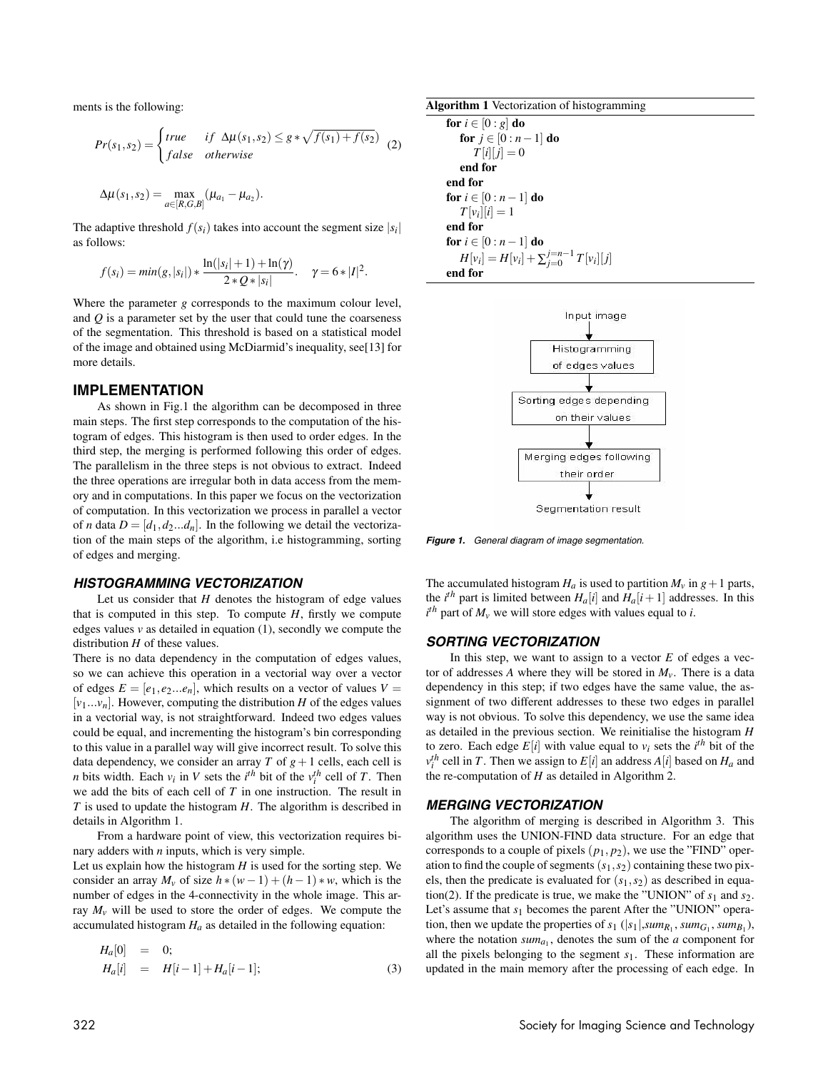ments is the following:

$$
Pr(s_1, s_2) = \begin{cases} true & \text{if } \Delta \mu(s_1, s_2) \leq g * \sqrt{f(s_1) + f(s_2)} \\ false & \text{otherwise} \end{cases} (2)
$$

$$
\Delta \mu(s_1, s_2) = \max_{a \in [R, G, B]} (\mu_{a_1} - \mu_{a_2}).
$$

The adaptive threshold  $f(s_i)$  takes into account the segment size  $|s_i|$ as follows:

$$
f(s_i) = min(g, |s_i|) * \frac{\ln(|s_i| + 1) + \ln(\gamma)}{2 * Q * |s_i|}. \quad \gamma = 6 * |I|^2.
$$

Where the parameter *g* corresponds to the maximum colour level, and *Q* is a parameter set by the user that could tune the coarseness of the segmentation. This threshold is based on a statistical model of the image and obtained using McDiarmid's inequality, see[13] for more details.

### **IMPLEMENTATION**

As shown in Fig.1 the algorithm can be decomposed in three main steps. The first step corresponds to the computation of the histogram of edges. This histogram is then used to order edges. In the third step, the merging is performed following this order of edges. The parallelism in the three steps is not obvious to extract. Indeed the three operations are irregular both in data access from the memory and in computations. In this paper we focus on the vectorization of computation. In this vectorization we process in parallel a vector of *n* data  $D = [d_1, d_2...d_n]$ . In the following we detail the vectorization of the main steps of the algorithm, i.e histogramming, sorting of edges and merging.

#### **HISTOGRAMMING VECTORIZATION**

Let us consider that *H* denotes the histogram of edge values that is computed in this step. To compute  $H$ , firstly we compute edges values  $v$  as detailed in equation  $(1)$ , secondly we compute the distribution *H* of these values.

There is no data dependency in the computation of edges values, so we can achieve this operation in a vectorial way over a vector of edges  $E = [e_1, e_2...e_n]$ , which results on a vector of values  $V =$  $[v_1...v_n]$ . However, computing the distribution *H* of the edges values in a vectorial way, is not straightforward. Indeed two edges values could be equal, and incrementing the histogram's bin corresponding to this value in a parallel way will give incorrect result. To solve this data dependency, we consider an array *T* of  $g + 1$  cells, each cell is *n* bits width. Each  $v_i$  in *V* sets the  $i^{th}$  bit of the  $v_i^{th}$  cell of *T*. Then we add the bits of each cell of *T* in one instruction. The result in *T* is used to update the histogram *H*. The algorithm is described in details in Algorithm 1.

From a hardware point of view, this vectorization requires binary adders with *n* inputs, which is very simple.

Let us explain how the histogram *H* is used for the sorting step. We consider an array  $M_v$  of size  $h * (w - 1) + (h - 1) * w$ , which is the number of edges in the 4-connectivity in the whole image. This array  $M_v$  will be used to store the order of edges. We compute the accumulated histogram  $H_a$  as detailed in the following equation:

$$
H_a[0] = 0; H_a[i] = H[i-1] + H_a[i-1];
$$
 (3)

| <b>Algorithm 1</b> Vectorization of histogramming |  |
|---------------------------------------------------|--|
| for $i \in [0:g]$ do                              |  |
| for $j \in [0:n-1]$ do                            |  |
| $T[i][j]=0$                                       |  |
| end for                                           |  |
| end for                                           |  |
| for $i \in [0:n-1]$ do                            |  |
| $T[v_i][i] = 1$                                   |  |
| end for                                           |  |
| for $i \in [0:n-1]$ do                            |  |
| $H[v_i] = H[v_i] + \sum_{i=0}^{j=n-1} T[v_i][j]$  |  |
| end for                                           |  |



**Figure 1.** General diagram of image segmentation.

The accumulated histogram  $H_a$  is used to partition  $M_v$  in  $g + 1$  parts, the *i*<sup>th</sup> part is limited between  $H_a[i]$  and  $H_a[i+1]$  addresses. In this  $i^{th}$  part of  $M_v$  we will store edges with values equal to *i*.

#### **SORTING VECTORIZATION**

In this step, we want to assign to a vector *E* of edges a vector of addresses *A* where they will be stored in  $M_{\nu}$ . There is a data dependency in this step; if two edges have the same value, the assignment of two different addresses to these two edges in parallel way is not obvious. To solve this dependency, we use the same idea as detailed in the previous section. We reinitialise the histogram *H* to zero. Each edge  $E[i]$  with value equal to  $v_i$  sets the *i*<sup>th</sup> bit of the  $v_i^{th}$  cell in *T*. Then we assign to  $E[i]$  an address  $A[i]$  based on  $H_a$  and the re-computation of *H* as detailed in Algorithm 2.

#### **MERGING VECTORIZATION**

The algorithm of merging is described in Algorithm 3. This algorithm uses the UNION-FIND data structure. For an edge that corresponds to a couple of pixels  $(p_1, p_2)$ , we use the "FIND" operation to find the couple of segments  $(s_1, s_2)$  containing these two pixels, then the predicate is evaluated for (*s*1,*s*2) as described in equation(2). If the predicate is true, we make the "UNION" of  $s_1$  and  $s_2$ . Let's assume that  $s_1$  becomes the parent After the "UNION" operation, then we update the properties of  $s_1$  ( $|s_1|$ , *sum<sub>R<sub>1</sub></sub>*, *sum<sub>G<sub>1</sub></sub>*, *sum<sub>B<sub>1</sub></sub>*), where the notation  $sum_{a_1}$ , denotes the sum of the *a* component for all the pixels belonging to the segment *s*1. These information are updated in the main memory after the processing of each edge. In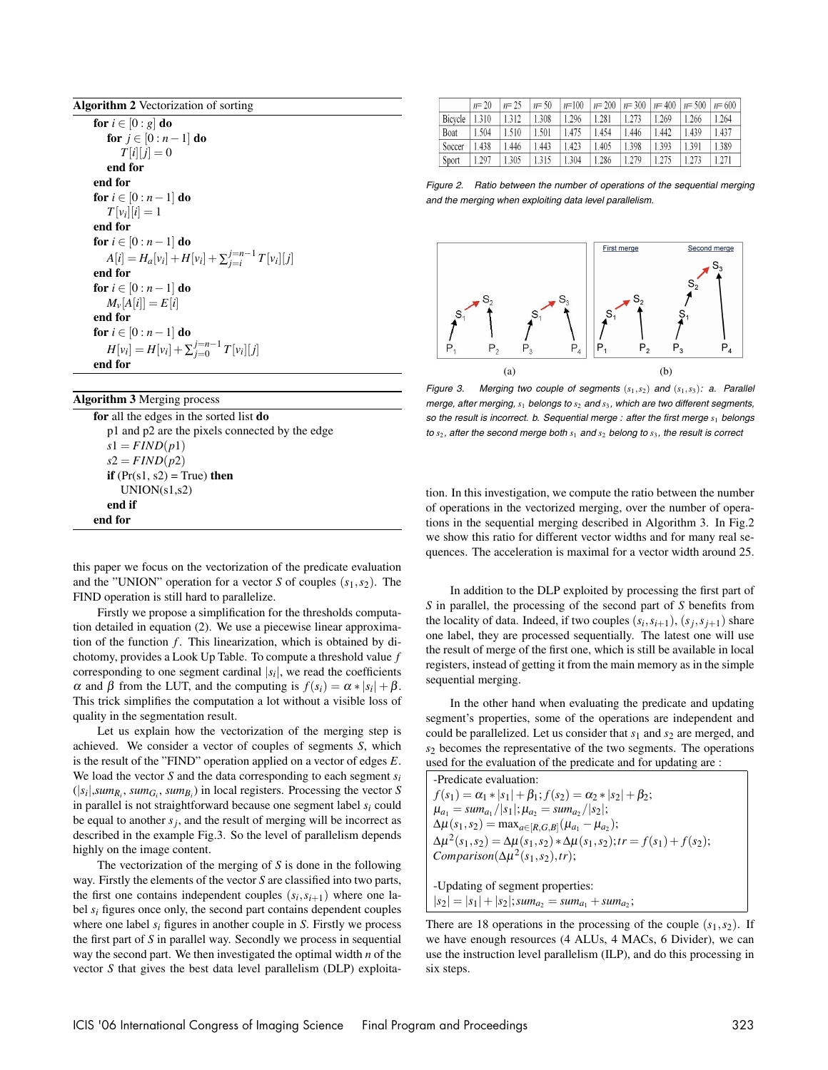| <b>Algorithm 2</b> Vectorization of sorting |  |
|---------------------------------------------|--|
|                                             |  |

**for**  $i \in [0:g]$  **do for**  $j \in [0 : n-1]$  **do**  $T[i][j] = 0$ **end for end for for**  $i \in [0 : n-1]$  **do**  $T[v_i][i] = 1$ **end for for**  $i \in [0 : n-1]$  **do** *A*[*i*] = *H<sub>a</sub>*[*v<sub>i</sub>*] + *H*[*v<sub>i</sub>*] +  $\sum_{j=i}^{j=n-1} T[v_i][j]$ **end for for**  $i \in [0 : n-1]$  **do**  $M_{\nu}[A[i]] = E[i]$ **end for for**  $i \in [0 : n-1]$  **do**  $H[v_i] = H[v_i] + \sum_{j=0}^{j=n-1} T[v_i][j]$ **end for**

# **Algorithm 3** Merging process

**for** all the edges in the sorted list **do** p1 and p2 are the pixels connected by the edge  $s1 = FIND(p1)$  $s2 = FIND(p2)$ **if**  $(Pr(s1, s2) = True)$  **then**  $UNION(s1,s2)$ **end if end for**

this paper we focus on the vectorization of the predicate evaluation and the "UNION" operation for a vector *S* of couples  $(s_1, s_2)$ . The FIND operation is still hard to parallelize.

Firstly we propose a simplification for the thresholds computation detailed in equation (2). We use a piecewise linear approximation of the function *f*. This linearization, which is obtained by dichotomy, provides a Look Up Table. To compute a threshold value *f* corresponding to one segment cardinal  $|s_i|$ , we read the coefficients α and β from the LUT, and the computing is  $f(s_i) = \alpha * |s_i| + \beta$ . This trick simplifies the computation a lot without a visible loss of quality in the segmentation result.

Let us explain how the vectorization of the merging step is achieved. We consider a vector of couples of segments *S*, which is the result of the "FIND" operation applied on a vector of edges *E*. We load the vector *S* and the data corresponding to each segment *si*  $(|s_i|, sum_{R_i}, sum_{G_i}, sum_{B_i})$  in local registers. Processing the vector *S* in parallel is not straightforward because one segment label *si* could be equal to another  $s_j$ , and the result of merging will be incorrect as described in the example Fig.3. So the level of parallelism depends highly on the image content.

The vectorization of the merging of *S* is done in the following way. Firstly the elements of the vector *S* are classified into two parts, the first one contains independent couples  $(s_i, s_{i+1})$  where one label *si* figures once only, the second part contains dependent couples where one label *si* figures in another couple in *S*. Firstly we process the first part of *S* in parallel way. Secondly we process in sequential way the second part. We then investigated the optimal width *n* of the vector *S* that gives the best data level parallelism (DLP) exploita-

|         | $n = 20$ | $n = 25$ | $n = 50$ | $n=100$ |       | $n=200$   $n=300$   $n=400$ |       | $n = 500$ $n = 600$ |       |
|---------|----------|----------|----------|---------|-------|-----------------------------|-------|---------------------|-------|
| Bicycle | 1.310    | 1.312    | 1.308    | 1.296   | 1.281 | 1.273                       | 1.269 | 1.266               | 1.264 |
| Boat    | 1.504    | 1.510    | 1.501    | 1.475   | 1.454 | 1.446                       | 1.442 | 1.439               | 1.437 |
| Soccer  | 1.438    | 1.446    | 1.443    | 1.423   | 1.405 | 1.398                       | 1.393 | 1.391               | 1.389 |
| Sport   | 1.297    | 1.305    | 1.315    | 1.304   | 1.286 | 1.279                       | 1.275 | 1.273               | 1.271 |

Figure 2. Ratio between the number of operations of the sequential merging and the merging when exploiting data level parallelism.



Figure 3. Merging two couple of segments  $(s_1, s_2)$  and  $(s_1, s_3)$ : a. Parallel merge, after merging, *s*<sup>1</sup> belongs to *s*<sup>2</sup> and *s*3, which are two different segments, so the result is incorrect. b. Sequential merge : after the first merge  $s_1$  belongs to  $s_2$ , after the second merge both  $s_1$  and  $s_2$  belong to  $s_3$ , the result is correct

tion. In this investigation, we compute the ratio between the number of operations in the vectorized merging, over the number of operations in the sequential merging described in Algorithm 3. In Fig.2 we show this ratio for different vector widths and for many real sequences. The acceleration is maximal for a vector width around 25.

In addition to the DLP exploited by processing the first part of *S* in parallel, the processing of the second part of *S* benefits from the locality of data. Indeed, if two couples  $(s_i, s_{i+1}), (s_i, s_{i+1})$  share one label, they are processed sequentially. The latest one will use the result of merge of the first one, which is still be available in local registers, instead of getting it from the main memory as in the simple sequential merging.

In the other hand when evaluating the predicate and updating segment's properties, some of the operations are independent and could be parallelized. Let us consider that *s*<sup>1</sup> and *s*<sup>2</sup> are merged, and *s*<sup>2</sup> becomes the representative of the two segments. The operations used for the evaluation of the predicate and for updating are :

-Predicate evaluation:  $f(s_1) = \alpha_1 * |s_1| + \beta_1; f(s_2) = \alpha_2 * |s_2| + \beta_2;$  $\mu_{a_1} = \frac{sum_{a_1}}{|s_1|}$ ;  $\mu_{a_2} = \frac{sum_{a_2}}{|s_2|}$ ;  $\Delta \mu(s_1, s_2) = \max_{a \in [R, G, B]} (\mu_{a_1} - \mu_{a_2});$  $\Delta \mu^{2}(s_{1}, s_{2}) = \Delta \mu(s_{1}, s_{2}) * \Delta \mu(s_{1}, s_{2});$   $tr = f(s_{1}) + f(s_{2});$  $Comparison(\Delta \mu^2(s_1,s_2),tr);$ -Updating of segment properties:  $|s_2| = |s_1| + |s_2|$ ; *sum<sub>a</sub>* = *sum<sub>a*1</sub> + *sum<sub>a</sub>*;

There are 18 operations in the processing of the couple  $(s_1, s_2)$ . If

we have enough resources (4 ALUs, 4 MACs, 6 Divider), we can use the instruction level parallelism (ILP), and do this processing in six steps.